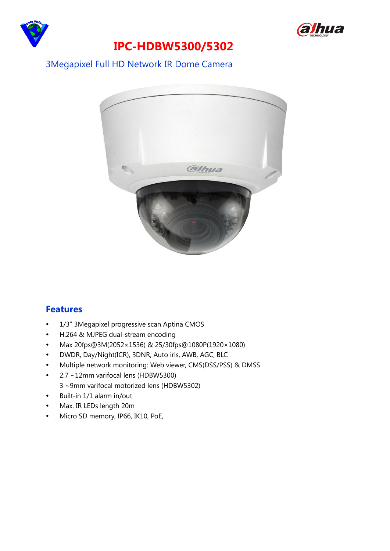



### **IPC-HDBW5300/5302**

#### 3Megapixel Full HD Network IR Dome Camera



#### **Features**

- 1/3" 3Megapixel progressive scan Aptina CMOS
- H.264 & MJPEG dual-stream encoding
- Max 20fps@3M(2052× 1536) & 25/30fps@1080P(1920× 1080)
- DWDR, Day/Night(ICR), 3DNR, Auto iris, AWB, AGC, BLC
- Multiple network monitoring: Web viewer, CMS(DSS/PSS) & DMSS
- 2.7 ~12mm varifocal lens (HDBW5300)
	- 3 ~9mm varifocal motorized lens (HDBW5302)
- Built-in 1/1 alarm in/out
- Max. IR LEDs length 20m
- Micro SD memory, IP66, IK10, PoE,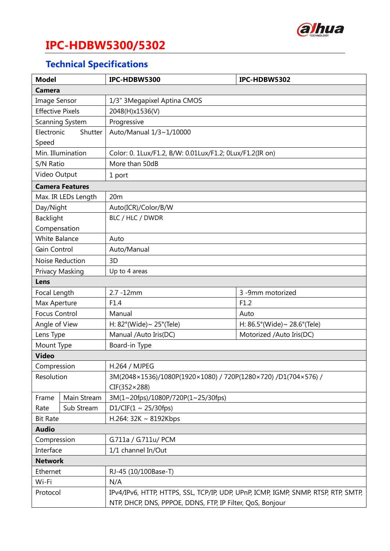

# **IPC-HDBW5300/5302**

# **Technical Specifications**

| <b>Model</b>            |             | IPC-HDBW5300                                                                       | IPC-HDBW5302                                      |  |  |  |
|-------------------------|-------------|------------------------------------------------------------------------------------|---------------------------------------------------|--|--|--|
| <b>Camera</b>           |             |                                                                                    |                                                   |  |  |  |
| <b>Image Sensor</b>     |             | 1/3" 3Megapixel Aptina CMOS                                                        |                                                   |  |  |  |
| <b>Effective Pixels</b> |             | 2048(H)x1536(V)                                                                    |                                                   |  |  |  |
| Scanning System         |             | Progressive                                                                        |                                                   |  |  |  |
| Electronic<br>Shutter   |             | Auto/Manual 1/3~1/10000                                                            |                                                   |  |  |  |
| Speed                   |             |                                                                                    |                                                   |  |  |  |
| Min. Illumination       |             | Color: 0. 1Lux/F1.2, B/W: 0.01Lux/F1.2; 0Lux/F1.2(IR on)                           |                                                   |  |  |  |
| S/N Ratio               |             | More than 50dB                                                                     |                                                   |  |  |  |
| Video Output            |             | 1 port                                                                             |                                                   |  |  |  |
| <b>Camera Features</b>  |             |                                                                                    |                                                   |  |  |  |
| Max. IR LEDs Length     |             | 20m                                                                                |                                                   |  |  |  |
| Day/Night               |             | Auto(ICR)/Color/B/W                                                                |                                                   |  |  |  |
| <b>Backlight</b>        |             | BLC / HLC / DWDR                                                                   |                                                   |  |  |  |
| Compensation            |             |                                                                                    |                                                   |  |  |  |
| <b>White Balance</b>    |             | Auto                                                                               |                                                   |  |  |  |
| Gain Control            |             | Auto/Manual                                                                        |                                                   |  |  |  |
| Noise Reduction         |             | 3D                                                                                 |                                                   |  |  |  |
| Privacy Masking         |             | Up to 4 areas                                                                      |                                                   |  |  |  |
| Lens                    |             |                                                                                    |                                                   |  |  |  |
| Focal Length            |             | 2.7 -12mm                                                                          | 3 -9mm motorized                                  |  |  |  |
| Max Aperture            |             | F1.4                                                                               | F1.2                                              |  |  |  |
| <b>Focus Control</b>    |             | Manual                                                                             | Auto                                              |  |  |  |
| Angle of View           |             | H: $82^{\circ}$ (Wide) ~ $25^{\circ}$ (Tele)                                       | H: $86.5^{\circ}$ (Wide) ~ 28.6 $^{\circ}$ (Tele) |  |  |  |
| Lens Type               |             | Manual /Auto Iris(DC)                                                              | Motorized /Auto Iris(DC)                          |  |  |  |
| Mount Type              |             | Board-in Type                                                                      |                                                   |  |  |  |
| <b>Video</b>            |             |                                                                                    |                                                   |  |  |  |
| Compression             |             | H.264 / MJPEG                                                                      |                                                   |  |  |  |
| Resolution              |             | 3M(2048×1536)/1080P(1920×1080) / 720P(1280×720) /D1(704×576) /                     |                                                   |  |  |  |
|                         |             | $CIF(352\times288)$                                                                |                                                   |  |  |  |
| Frame                   | Main Stream | 3M(1~20fps)/1080P/720P(1~25/30fps)                                                 |                                                   |  |  |  |
| Rate                    | Sub Stream  | D1/CIF(1 ~ 25/30fps)                                                               |                                                   |  |  |  |
| <b>Bit Rate</b>         |             | H.264: 32K ~ 8192Kbps                                                              |                                                   |  |  |  |
| <b>Audio</b>            |             |                                                                                    |                                                   |  |  |  |
| Compression             |             | G.711a / G.711u/ PCM                                                               |                                                   |  |  |  |
| Interface               |             | 1/1 channel In/Out                                                                 |                                                   |  |  |  |
| <b>Network</b>          |             |                                                                                    |                                                   |  |  |  |
| Ethernet                |             | RJ-45 (10/100Base-T)                                                               |                                                   |  |  |  |
| Wi-Fi                   |             | N/A                                                                                |                                                   |  |  |  |
| Protocol                |             | IPv4/IPv6, HTTP, HTTPS, SSL, TCP/IP, UDP, UPnP, ICMP, IGMP, SNMP, RTSP, RTP, SMTP, |                                                   |  |  |  |
|                         |             | NTP, DHCP, DNS, PPPOE, DDNS, FTP, IP Filter, QoS, Bonjour                          |                                                   |  |  |  |